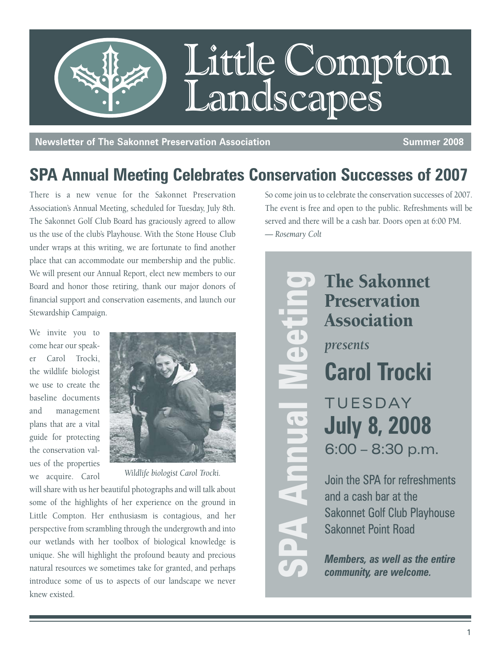

**Newsletter of The Sakonnet Preservation Association Summer 2008** Summer 2008

# **SPA Annual Meeting Celebrates Conservation Successes of 2007**

There is a new venue for the Sakonnet Preservation Association's Annual Meeting, scheduled for Tuesday, July 8th. The Sakonnet Golf Club Board has graciously agreed to allow us the use of the club's Playhouse. With the Stone House Club under wraps at this writing, we are fortunate to find another place that can accommodate our membership and the public. We will present our Annual Report, elect new members to our Board and honor those retiring, thank our major donors of financial support and conservation easements, and launch our Stewardship Campaign.

We invite you to come hear our speaker Carol Trocki, the wildlife biologist we use to create the baseline documents and management plans that are a vital guide for protecting the conservation values of the properties we acquire. Carol



*Wildlife biologist Carol Trocki.*

will share with us her beautiful photographs and will talk about some of the highlights of her experience on the ground in Little Compton. Her enthusiasm is contagious, and her perspective from scrambling through the undergrowth and into our wetlands with her toolbox of biological knowledge is unique. She will highlight the profound beauty and precious natural resources we sometimes take for granted, and perhaps introduce some of us to aspects of our landscape we never knew existed.

So come join us to celebrate the conservation successes of 2007. The event is free and open to the public. Refreshments will be served and there will be a cash bar. Doors open at 6:00 PM. *— Rosemary Colt*

The Sakonnet Preservation Association *presents* **Carol Trocki** TUESDAY **July 8, 2008** 6:00 – 8:30 p.m. Join the SPA for refreshments The Sakonnet<br> **Preservation**<br> **Space Annual Meeting Carol Trocki**<br>
TUESDAY<br> **July 8, 2008**<br>
6:00 – 8:30 p.m<br>
Join the SPA for refreshm<br>
and a cash bar at the<br>
Sakonnet Golf Club Playh<br>
Sakonnet Point Road<br>
Members, as well

and a cash bar at the Sakonnet Golf Club Playhouse Sakonnet Point Road

*Members, as well as the entire*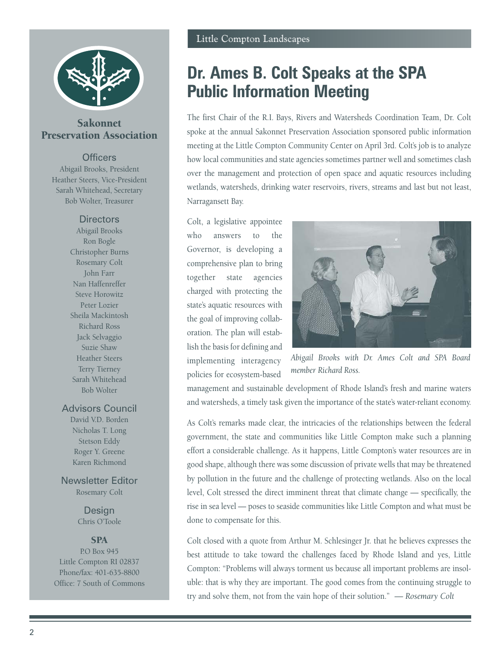

### Sakonnet Preservation Association

#### **Officers**

Abigail Brooks, President Heather Steers, Vice-President Sarah Whitehead, Secretary Bob Wolter, Treasurer

#### **Directors**

Abigail Brooks Ron Bogle Christopher Burns Rosemary Colt John Farr Nan Haffenreffer Steve Horowitz Peter Lozier Sheila Mackintosh Richard Ross Jack Selvaggio Suzie Shaw Heather Steers Terry Tierney Sarah Whitehead Bob Wolter

#### Advisors Council

David V.D. Borden Nicholas T. Long Stetson Eddy Roger Y. Greene Karen Richmond

Newsletter Editor Rosemary Colt

> Design Chris O'Toole

### **SPA**

P.O Box 945 Little Compton RI 02837 Phone/fax: 401-635-8800 Office: 7 South of Commons

### **Dr. Ames B. Colt Speaks at the SPA Public Information Meeting**

The first Chair of the R.I. Bays, Rivers and Watersheds Coordination Team, Dr. Colt spoke at the annual Sakonnet Preservation Association sponsored public information meeting at the Little Compton Community Center on April 3rd. Colt's job is to analyze how local communities and state agencies sometimes partner well and sometimes clash over the management and protection of open space and aquatic resources including wetlands, watersheds, drinking water reservoirs, rivers, streams and last but not least, Narragansett Bay.

Colt, a legislative appointee who answers to the Governor, is developing a comprehensive plan to bring together state agencies charged with protecting the state's aquatic resources with the goal of improving collaboration. The plan will establish the basis for defining and implementing interagency policies for ecosystem-based



*Abigail Brooks with Dr. Ames Colt and SPA Board member Richard Ross.*

management and sustainable development of Rhode Island's fresh and marine waters and watersheds, a timely task given the importance of the state's water-reliant economy.

As Colt's remarks made clear, the intricacies of the relationships between the federal government, the state and communities like Little Compton make such a planning effort a considerable challenge. As it happens, Little Compton's water resources are in good shape, although there was some discussion of private wells that may be threatened by pollution in the future and the challenge of protecting wetlands. Also on the local level, Colt stressed the direct imminent threat that climate change — specifically, the rise in sea level — poses to seaside communities like Little Compton and what must be done to compensate for this.

Colt closed with a quote from Arthur M. Schlesinger Jr. that he believes expresses the best attitude to take toward the challenges faced by Rhode Island and yes, Little Compton: "Problems will always torment us because all important problems are insoluble: that is why they are important. The good comes from the continuing struggle to try and solve them, not from the vain hope of their solution." *— Rosemary Colt*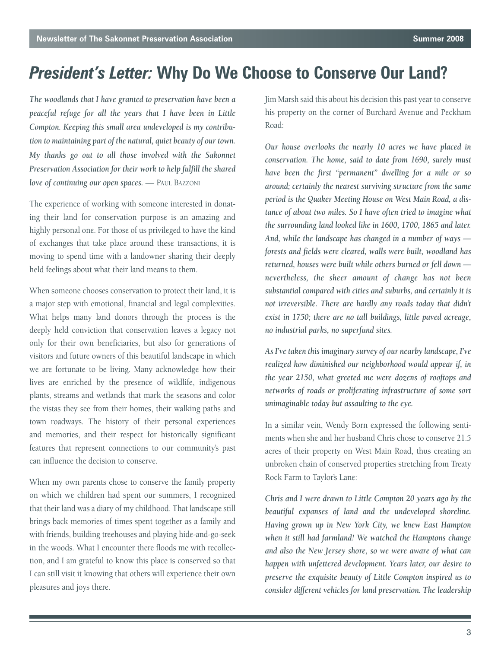# *President's Letter:* **Why Do We Choose to Conserve Our Land?**

*The woodlands that I have granted to preservation have been a peaceful refuge for all the years that I have been in Little Compton. Keeping this small area undeveloped is my contribution to maintaining part of the natural, quiet beauty of our town. My thanks go out to all those involved with the Sakonnet Preservation Association for their work to help fulfill the shared love of continuing our open spaces. — PAUL BAZZONI* 

The experience of working with someone interested in donating their land for conservation purpose is an amazing and highly personal one. For those of us privileged to have the kind of exchanges that take place around these transactions, it is moving to spend time with a landowner sharing their deeply held feelings about what their land means to them.

When someone chooses conservation to protect their land, it is a major step with emotional, financial and legal complexities. What helps many land donors through the process is the deeply held conviction that conservation leaves a legacy not only for their own beneficiaries, but also for generations of visitors and future owners of this beautiful landscape in which we are fortunate to be living. Many acknowledge how their lives are enriched by the presence of wildlife, indigenous plants, streams and wetlands that mark the seasons and color the vistas they see from their homes, their walking paths and town roadways. The history of their personal experiences and memories, and their respect for historically significant features that represent connections to our community's past can influence the decision to conserve.

When my own parents chose to conserve the family property on which we children had spent our summers, I recognized that their land was a diary of my childhood. That landscape still brings back memories of times spent together as a family and with friends, building treehouses and playing hide-and-go-seek in the woods. What I encounter there floods me with recollection, and I am grateful to know this place is conserved so that I can still visit it knowing that others will experience their own pleasures and joys there.

Jim Marsh said this about his decision this past year to conserve his property on the corner of Burchard Avenue and Peckham Road:

*Our house overlooks the nearly 10 acres we have placed in conservation. The home, said to date from 1690, surely must have been the first "permanent" dwelling for a mile or so around; certainly the nearest surviving structure from the same period is the Quaker Meeting House on West Main Road, a distance of about two miles. So I have often tried to imagine what the surrounding land looked like in 1600, 1700, 1865 and later. And, while the landscape has changed in a number of ways forests and fields were cleared, walls were built, woodland has returned, houses were built while others burned or fell down nevertheless, the sheer amount of change has not been substantial compared with cities and suburbs, and certainly it is not irreversible. There are hardly any roads today that didn't exist in 1750; there are no tall buildings, little paved acreage, no industrial parks, no superfund sites.*

*As I've taken this imaginary survey of our nearby landscape, I've realized how diminished our neighborhood would appear if, in the year 2150, what greeted me were dozens of rooftops and networks of roads or proliferating infrastructure of some sort unimaginable today but assaulting to the eye.* 

In a similar vein, Wendy Born expressed the following sentiments when she and her husband Chris chose to conserve 21.5 acres of their property on West Main Road, thus creating an unbroken chain of conserved properties stretching from Treaty Rock Farm to Taylor's Lane:

*Chris and I were drawn to Little Compton 20 years ago by the beautiful expanses of land and the undeveloped shoreline. Having grown up in New York City, we knew East Hampton when it still had farmland! We watched the Hamptons change and also the New Jersey shore, so we were aware of what can happen with unfettered development. Years later, our desire to preserve the exquisite beauty of Little Compton inspired us to consider different vehicles for land preservation. The leadership*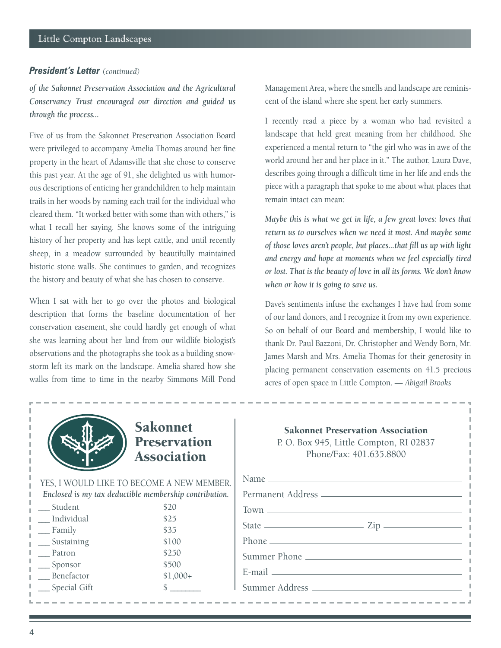### *President's Letter (continued)*

*of the Sakonnet Preservation Association and the Agricultural Conservancy Trust encouraged our direction and guided us through the process...*

Five of us from the Sakonnet Preservation Association Board were privileged to accompany Amelia Thomas around her fine property in the heart of Adamsville that she chose to conserve this past year. At the age of 91, she delighted us with humorous descriptions of enticing her grandchildren to help maintain trails in her woods by naming each trail for the individual who cleared them. "It worked better with some than with others," is what I recall her saying. She knows some of the intriguing history of her property and has kept cattle, and until recently sheep, in a meadow surrounded by beautifully maintained historic stone walls. She continues to garden, and recognizes the history and beauty of what she has chosen to conserve.

When I sat with her to go over the photos and biological description that forms the baseline documentation of her conservation easement, she could hardly get enough of what she was learning about her land from our wildlife biologist's observations and the photographs she took as a building snowstorm left its mark on the landscape. Amelia shared how she walks from time to time in the nearby Simmons Mill Pond

Management Area, where the smells and landscape are reminiscent of the island where she spent her early summers.

I recently read a piece by a woman who had revisited a landscape that held great meaning from her childhood. She experienced a mental return to "the girl who was in awe of the world around her and her place in it." The author, Laura Dave, describes going through a difficult time in her life and ends the piece with a paragraph that spoke to me about what places that remain intact can mean:

*Maybe this is what we get in life, a few great loves: loves that return us to ourselves when we need it most. And maybe some of those loves aren't people, but places...that fill us up with light and energy and hope at moments when we feel especially tired or lost. That is the beauty of love in all its forms. We don't know when or how it is going to save us.*

Dave's sentiments infuse the exchanges I have had from some of our land donors, and I recognize it from my own experience. So on behalf of our Board and membership, I would like to thank Dr. Paul Bazzoni, Dr. Christopher and Wendy Born, Mr. James Marsh and Mrs. Amelia Thomas for their generosity in placing permanent conservation easements on 41.5 precious acres of open space in Little Compton. — *Abigail Brooks*



### Sakonnet Preservation Association

YES, I WOULD LIKE TO BECOME A NEW MEMBER. *Enclosed is my tax deductible membership contribution.* 

| Student      | \$20      |
|--------------|-----------|
| Individual   | \$25      |
| Family       | \$35      |
| Sustaining   | \$100     |
| Patron       | \$250     |
| Sponsor      | \$500     |
| Benefactor   | $$1,000+$ |
| Special Gift |           |

| $Town \frown T$                    |
|------------------------------------|
|                                    |
|                                    |
| Summer Phone                       |
| $E$ -mail $\overline{\phantom{a}}$ |
|                                    |
|                                    |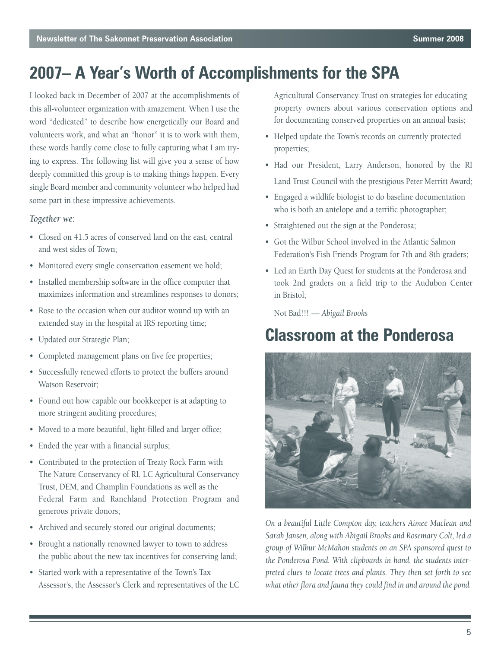# **2007– A Year's Worth of Accomplishments for the SPA**

I looked back in December of 2007 at the accomplishments of this all-volunteer organization with amazement. When I use the word "dedicated" to describe how energetically our Board and volunteers work, and what an "honor" it is to work with them, these words hardly come close to fully capturing what I am trying to express. The following list will give you a sense of how deeply committed this group is to making things happen. Every single Board member and community volunteer who helped had some part in these impressive achievements.

### *Together we:*

- Closed on 41.5 acres of conserved land on the east, central and west sides of Town;
- Monitored every single conservation easement we hold;
- Installed membership software in the office computer that maximizes information and streamlines responses to donors;
- Rose to the occasion when our auditor wound up with an extended stay in the hospital at IRS reporting time;
- Updated our Strategic Plan;
- Completed management plans on five fee properties;
- Successfully renewed efforts to protect the buffers around Watson Reservoir;
- Found out how capable our bookkeeper is at adapting to more stringent auditing procedures;
- Moved to a more beautiful, light-filled and larger office;
- Ended the year with a financial surplus;
- Contributed to the protection of Treaty Rock Farm with The Nature Conservancy of RI, LC Agricultural Conservancy Trust, DEM, and Champlin Foundations as well as the Federal Farm and Ranchland Protection Program and generous private donors;
- Archived and securely stored our original documents;
- Brought a nationally renowned lawyer to town to address the public about the new tax incentives for conserving land;
- Started work with a representative of the Town's Tax Assessor's, the Assessor's Clerk and representatives of the LC

Agricultural Conservancy Trust on strategies for educating property owners about various conservation options and for documenting conserved properties on an annual basis;

- Helped update the Town's records on currently protected properties;
- Had our President, Larry Anderson, honored by the RI Land Trust Council with the prestigious Peter Merritt Award;
- Engaged a wildlife biologist to do baseline documentation who is both an antelope and a terrific photographer;
- Straightened out the sign at the Ponderosa;
- Got the Wilbur School involved in the Atlantic Salmon Federation's Fish Friends Program for 7th and 8th graders;
- Led an Earth Day Quest for students at the Ponderosa and took 2nd graders on a field trip to the Audubon Center in Bristol;

Not Bad!!! — *Abigail Brooks*

# **Classroom at the Ponderosa**



*On a beautiful Little Compton day, teachers Aimee Maclean and Sarah Jansen, along with Abigail Brooks and Rosemary Colt, led a group of Wilbur McMahon students on an SPA sponsored quest to the Ponderosa Pond. With clipboards in hand, the students interpreted clues to locate trees and plants. They then set forth to see what other flora and fauna they could find in and around the pond.*